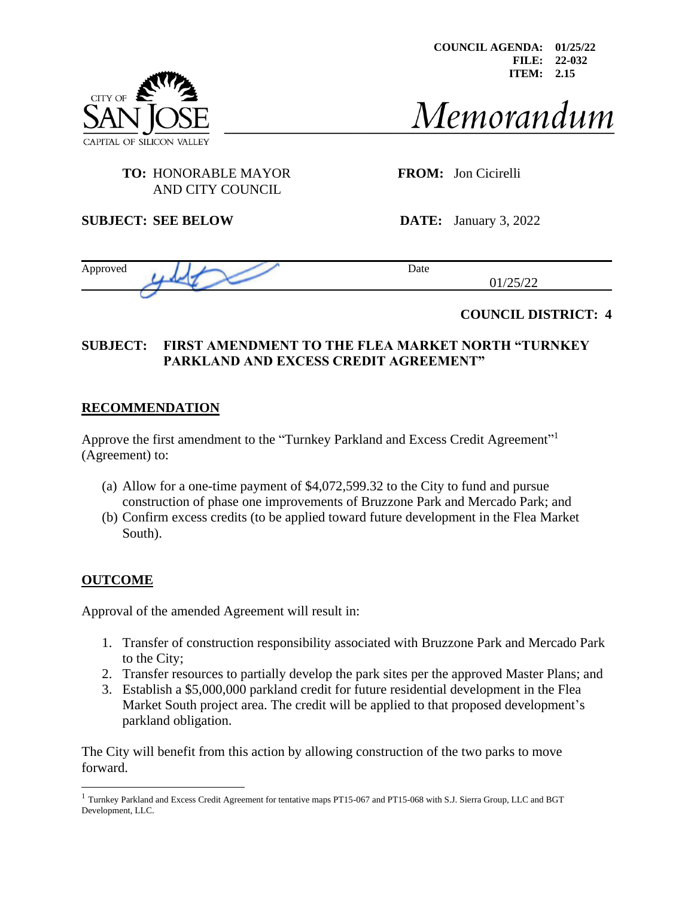CITY OF **AL OF SILICON**  **COUNCIL AGENDA: 01/25/22 FILE: 22-032 ITEM: 2.15**

# Memorandum

#### **TO:** HONORABLE MAYOR **FROM:** Jon Cicirelli AND CITY COUNCIL

**SUBJECT: SEE BELOW DATE:** January 3, 2022

| Approved | Date             |
|----------|------------------|
|          | $\sqrt{2}$<br>-- |
|          |                  |

## **COUNCIL DISTRICT: 4**

#### **SUBJECT: FIRST AMENDMENT TO THE FLEA MARKET NORTH "TURNKEY PARKLAND AND EXCESS CREDIT AGREEMENT"**

#### **RECOMMENDATION**

Approve the first amendment to the "Turnkey Parkland and Excess Credit Agreement"<sup>1</sup> (Agreement) to:

- (a) Allow for a one-time payment of \$4,072,599.32 to the City to fund and pursue construction of phase one improvements of Bruzzone Park and Mercado Park; and
- (b) Confirm excess credits (to be applied toward future development in the Flea Market South).

## **OUTCOME**

Approval of the amended Agreement will result in:

- 1. Transfer of construction responsibility associated with Bruzzone Park and Mercado Park to the City;
- 2. Transfer resources to partially develop the park sites per the approved Master Plans; and
- 3. Establish a \$5,000,000 parkland credit for future residential development in the Flea Market South project area. The credit will be applied to that proposed development's parkland obligation.

The City will benefit from this action by allowing construction of the two parks to move forward.

<sup>&</sup>lt;sup>1</sup> Turnkey Parkland and Excess Credit Agreement for tentative maps PT15-067 and PT15-068 with S.J. Sierra Group, LLC and BGT Development, LLC.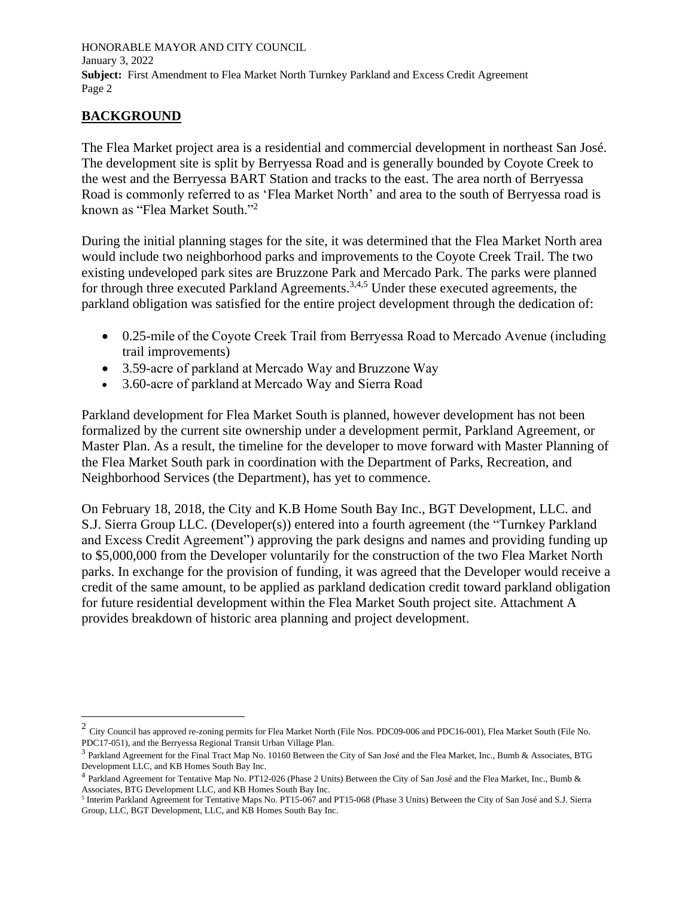## **BACKGROUND**

The Flea Market project area is a residential and commercial development in northeast San José. The development site is split by Berryessa Road and is generally bounded by Coyote Creek to the west and the Berryessa BART Station and tracks to the east. The area north of Berryessa Road is commonly referred to as 'Flea Market North' and area to the south of Berryessa road is known as "Flea Market South." 2

During the initial planning stages for the site, it was determined that the Flea Market North area would include two neighborhood parks and improvements to the Coyote Creek Trail. The two existing undeveloped park sites are Bruzzone Park and Mercado Park. The parks were planned for through three executed Parkland Agreements.<sup>3,4,5</sup> Under these executed agreements, the parkland obligation was satisfied for the entire project development through the dedication of:

- 0.25-mile of the Coyote Creek Trail from Berryessa Road to Mercado Avenue (including trail improvements)
- 3.59-acre of parkland at Mercado Way and Bruzzone Way
- 3.60-acre of parkland at Mercado Way and Sierra Road

Parkland development for Flea Market South is planned, however development has not been formalized by the current site ownership under a development permit, Parkland Agreement, or Master Plan. As a result, the timeline for the developer to move forward with Master Planning of the Flea Market South park in coordination with the Department of Parks, Recreation, and Neighborhood Services (the Department), has yet to commence.

On February 18, 2018, the City and K.B Home South Bay Inc., BGT Development, LLC. and S.J. Sierra Group LLC. (Developer(s)) entered into a fourth agreement (the "Turnkey Parkland and Excess Credit Agreement") approving the park designs and names and providing funding up to \$5,000,000 from the Developer voluntarily for the construction of the two Flea Market North parks. In exchange for the provision of funding, it was agreed that the Developer would receive a credit of the same amount, to be applied as parkland dedication credit toward parkland obligation for future residential development within the Flea Market South project site. Attachment A provides breakdown of historic area planning and project development.

 $^2$  City Council has approved re-zoning permits for Flea Market North (File Nos. PDC09-006 and PDC16-001), Flea Market South (File No. PDC17-051), and the Berryessa Regional Transit Urban Village Plan.

 $3$  Parkland Agreement for the Final Tract Map No. 10160 Between the City of San José and the Flea Market, Inc., Bumb & Associates, BTG Development LLC, and KB Homes South Bay Inc.

<sup>&</sup>lt;sup>4</sup> Parkland Agreement for Tentative Map No. PT12-026 (Phase 2 Units) Between the City of San José and the Flea Market, Inc., Bumb & Associates, BTG Development LLC, and KB Homes South Bay Inc.

<sup>&</sup>lt;sup>5</sup> Interim Parkland Agreement for Tentative Maps No. PT15-067 and PT15-068 (Phase 3 Units) Between the City of San José and S.J. Sierra Group, LLC, BGT Development, LLC, and KB Homes South Bay Inc.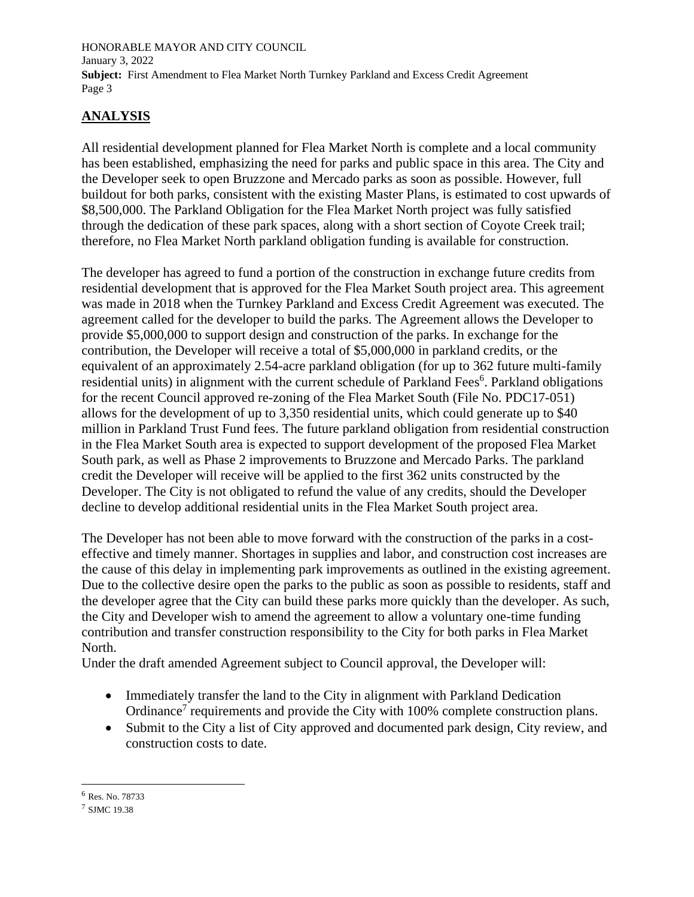## **ANALYSIS**

All residential development planned for Flea Market North is complete and a local community has been established, emphasizing the need for parks and public space in this area. The City and the Developer seek to open Bruzzone and Mercado parks as soon as possible. However, full buildout for both parks, consistent with the existing Master Plans, is estimated to cost upwards of \$8,500,000. The Parkland Obligation for the Flea Market North project was fully satisfied through the dedication of these park spaces, along with a short section of Coyote Creek trail; therefore, no Flea Market North parkland obligation funding is available for construction.

The developer has agreed to fund a portion of the construction in exchange future credits from residential development that is approved for the Flea Market South project area. This agreement was made in 2018 when the Turnkey Parkland and Excess Credit Agreement was executed. The agreement called for the developer to build the parks. The Agreement allows the Developer to provide \$5,000,000 to support design and construction of the parks. In exchange for the contribution, the Developer will receive a total of \$5,000,000 in parkland credits, or the equivalent of an approximately 2.54-acre parkland obligation (for up to 362 future multi-family residential units) in alignment with the current schedule of Parkland Fees<sup>6</sup>. Parkland obligations for the recent Council approved re-zoning of the Flea Market South (File No. PDC17-051) allows for the development of up to 3,350 residential units, which could generate up to \$40 million in Parkland Trust Fund fees. The future parkland obligation from residential construction in the Flea Market South area is expected to support development of the proposed Flea Market South park, as well as Phase 2 improvements to Bruzzone and Mercado Parks. The parkland credit the Developer will receive will be applied to the first 362 units constructed by the Developer. The City is not obligated to refund the value of any credits, should the Developer decline to develop additional residential units in the Flea Market South project area.

The Developer has not been able to move forward with the construction of the parks in a costeffective and timely manner. Shortages in supplies and labor, and construction cost increases are the cause of this delay in implementing park improvements as outlined in the existing agreement. Due to the collective desire open the parks to the public as soon as possible to residents, staff and the developer agree that the City can build these parks more quickly than the developer. As such, the City and Developer wish to amend the agreement to allow a voluntary one-time funding contribution and transfer construction responsibility to the City for both parks in Flea Market North.

Under the draft amended Agreement subject to Council approval, the Developer will:

- Immediately transfer the land to the City in alignment with Parkland Dedication Ordinance<sup>7</sup> requirements and provide the City with 100% complete construction plans.
- Submit to the City a list of City approved and documented park design, City review, and construction costs to date.

<sup>6</sup> Res. No. 78733

<sup>7</sup> SJMC 19.38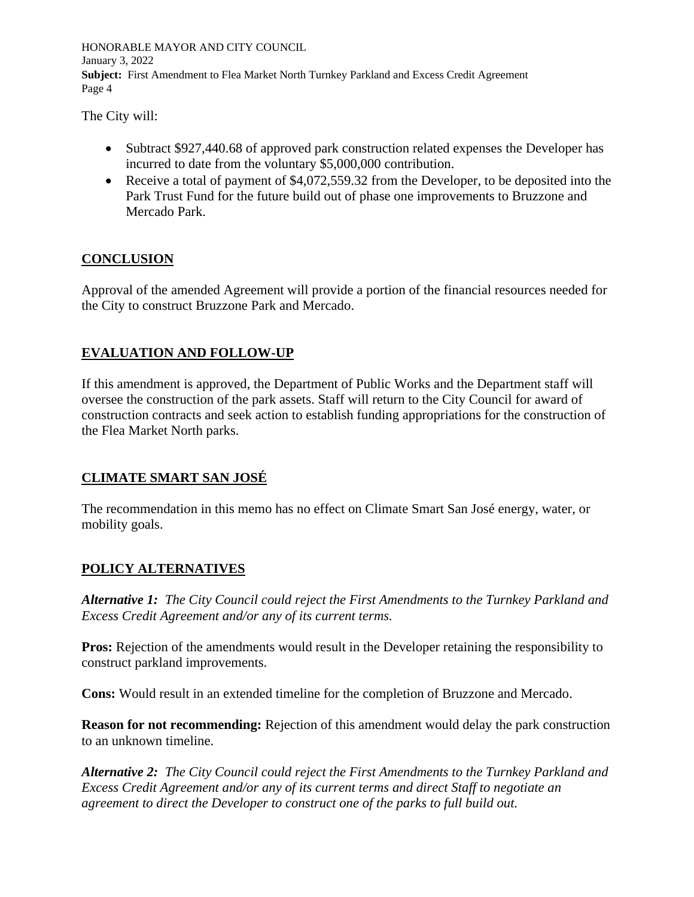The City will:

- Subtract \$927,440.68 of approved park construction related expenses the Developer has incurred to date from the voluntary \$5,000,000 contribution.
- Receive a total of payment of \$4,072,559.32 from the Developer, to be deposited into the Park Trust Fund for the future build out of phase one improvements to Bruzzone and Mercado Park.

#### **CONCLUSION**

Approval of the amended Agreement will provide a portion of the financial resources needed for the City to construct Bruzzone Park and Mercado.

#### **EVALUATION AND FOLLOW-UP**

If this amendment is approved, the Department of Public Works and the Department staff will oversee the construction of the park assets. Staff will return to the City Council for award of construction contracts and seek action to establish funding appropriations for the construction of the Flea Market North parks.

## **CLIMATE SMART SAN JOSÉ**

The recommendation in this memo has no effect on Climate Smart San José energy, water, or mobility goals.

#### **POLICY ALTERNATIVES**

*Alternative 1: The City Council could reject the First Amendments to the Turnkey Parkland and Excess Credit Agreement and/or any of its current terms.*

**Pros:** Rejection of the amendments would result in the Developer retaining the responsibility to construct parkland improvements.

**Cons:** Would result in an extended timeline for the completion of Bruzzone and Mercado.

**Reason for not recommending:** Rejection of this amendment would delay the park construction to an unknown timeline.

*Alternative 2: The City Council could reject the First Amendments to the Turnkey Parkland and Excess Credit Agreement and/or any of its current terms and direct Staff to negotiate an agreement to direct the Developer to construct one of the parks to full build out.*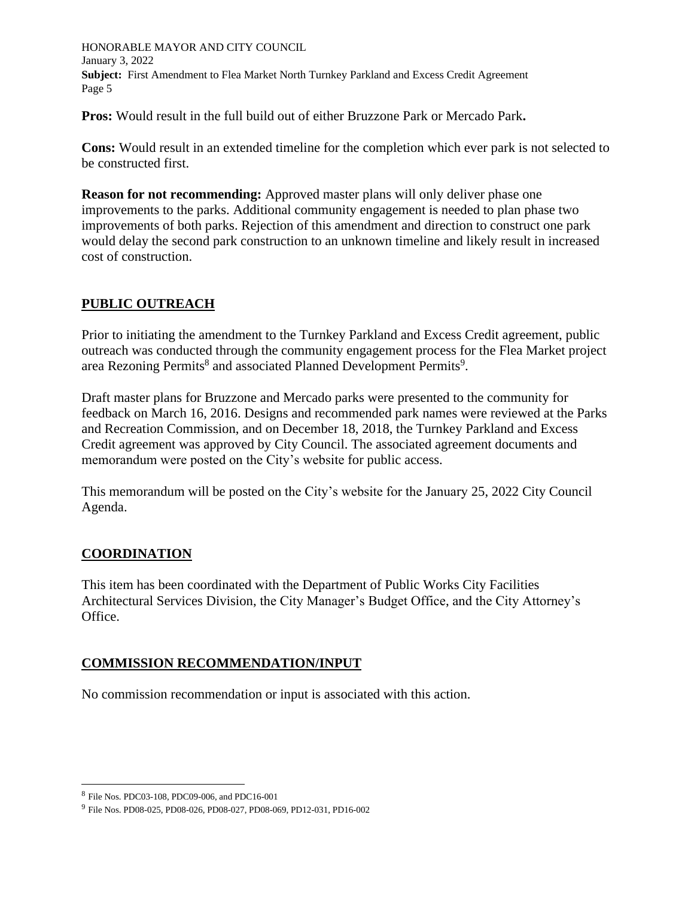**Pros:** Would result in the full build out of either Bruzzone Park or Mercado Park**.** 

**Cons:** Would result in an extended timeline for the completion which ever park is not selected to be constructed first.

**Reason for not recommending:** Approved master plans will only deliver phase one improvements to the parks. Additional community engagement is needed to plan phase two improvements of both parks. Rejection of this amendment and direction to construct one park would delay the second park construction to an unknown timeline and likely result in increased cost of construction.

#### **PUBLIC OUTREACH**

Prior to initiating the amendment to the Turnkey Parkland and Excess Credit agreement, public outreach was conducted through the community engagement process for the Flea Market project area Rezoning Permits<sup>8</sup> and associated Planned Development Permits<sup>9</sup>.

Draft master plans for Bruzzone and Mercado parks were presented to the community for feedback on March 16, 2016. Designs and recommended park names were reviewed at the Parks and Recreation Commission, and on December 18, 2018, the Turnkey Parkland and Excess Credit agreement was approved by City Council. The associated agreement documents and memorandum were posted on the City's website for public access.

This memorandum will be posted on the City's website for the January 25, 2022 City Council Agenda.

#### **COORDINATION**

This item has been coordinated with the Department of Public Works City Facilities Architectural Services Division, the City Manager's Budget Office, and the City Attorney's Office.

## **COMMISSION RECOMMENDATION/INPUT**

No commission recommendation or input is associated with this action.

<sup>8</sup> File Nos. PDC03-108, PDC09-006, and PDC16-001

<sup>9</sup> File Nos. PD08-025, PD08-026, PD08-027, PD08-069, PD12-031, PD16-002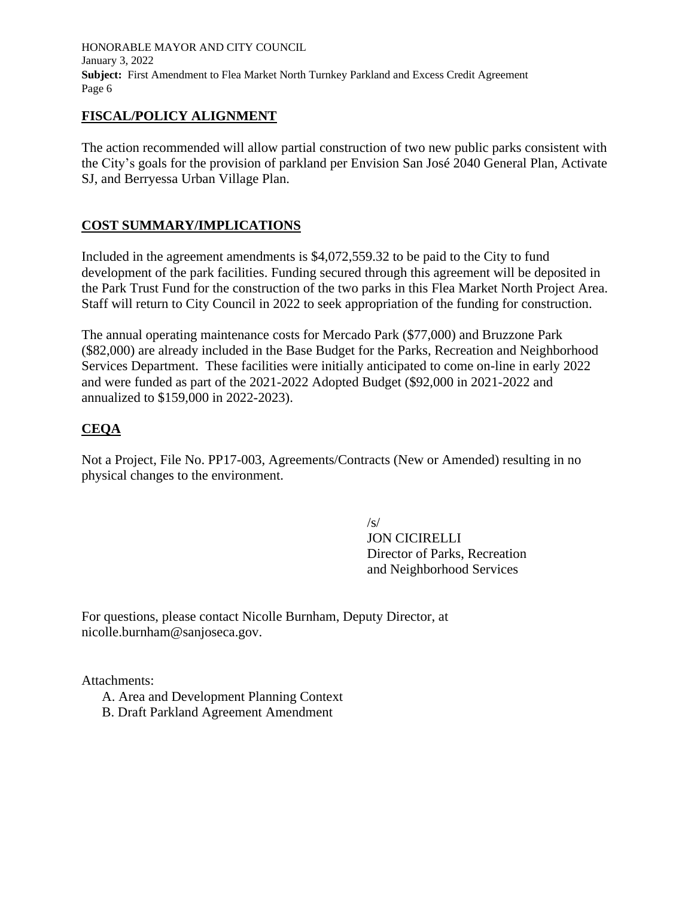#### **FISCAL/POLICY ALIGNMENT**

The action recommended will allow partial construction of two new public parks consistent with the City's goals for the provision of parkland per Envision San José 2040 General Plan, Activate SJ, and Berryessa Urban Village Plan.

#### **COST SUMMARY/IMPLICATIONS**

Included in the agreement amendments is \$4,072,559.32 to be paid to the City to fund development of the park facilities. Funding secured through this agreement will be deposited in the Park Trust Fund for the construction of the two parks in this Flea Market North Project Area. Staff will return to City Council in 2022 to seek appropriation of the funding for construction.

The annual operating maintenance costs for Mercado Park (\$77,000) and Bruzzone Park (\$82,000) are already included in the Base Budget for the Parks, Recreation and Neighborhood Services Department. These facilities were initially anticipated to come on-line in early 2022 and were funded as part of the 2021-2022 Adopted Budget (\$92,000 in 2021-2022 and annualized to \$159,000 in 2022-2023).

#### **CEQA**

Not a Project, File No. PP17-003, Agreements/Contracts (New or Amended) resulting in no physical changes to the environment.

> $\sqrt{s}$ JON CICIRELLI Director of Parks, Recreation and Neighborhood Services

For questions, please contact Nicolle Burnham, Deputy Director, at nicolle.burnham@sanjoseca.gov.

Attachments:

- A. Area and Development Planning Context
- B. Draft Parkland Agreement Amendment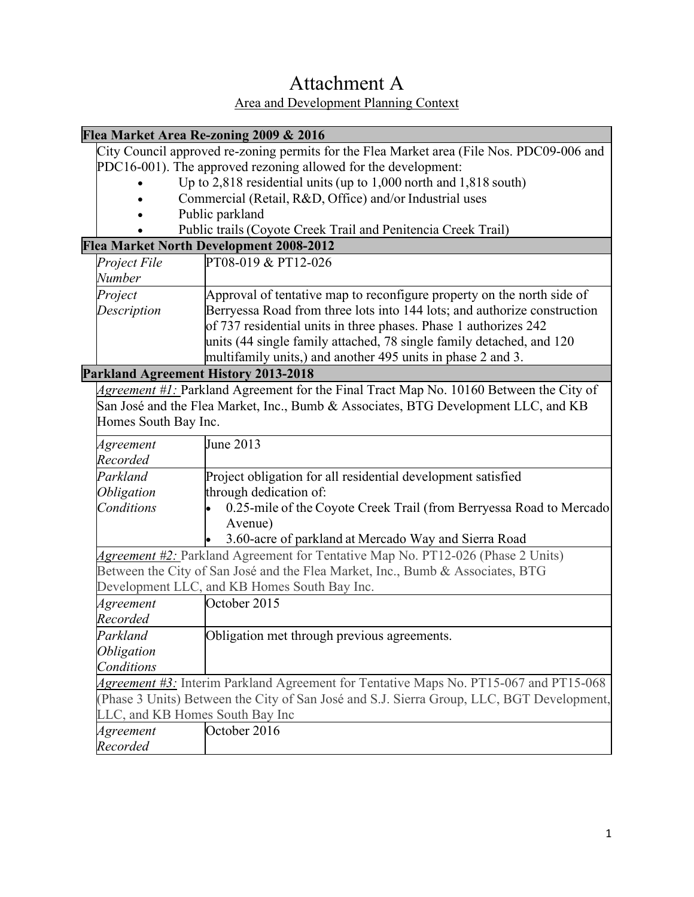# Attachment A

#### Area and Development Planning Context

#### **Flea Market Area Re-zoning 2009 & 2016**

City Council approved re-zoning permits for the Flea Market area (File Nos. PDC09-006 and PDC16-001). The approved rezoning allowed for the development:

- Up to 2,818 residential units (up to 1,000 north and 1,818 south)
- Commercial (Retail, R&D, Office) and/or Industrial uses
- Public parkland
- Public trails (Coyote Creek Trail and Penitencia Creek Trail)

## **Flea Market North Development 2008-2012**

| Project File | PT08-019 & PT12-026                                                      |
|--------------|--------------------------------------------------------------------------|
| Number       |                                                                          |
| Project      | Approval of tentative map to reconfigure property on the north side of   |
| Description  | Berryessa Road from three lots into 144 lots; and authorize construction |
|              | of 737 residential units in three phases. Phase 1 authorizes 242         |
|              | units (44 single family attached, 78 single family detached, and 120     |
|              | multifamily units,) and another 495 units in phase 2 and 3.              |

#### **Parkland Agreement History 2013-2018**

*Agreement #1:* Parkland Agreement for the Final Tract Map No. 10160 Between the City of San José and the Flea Market, Inc., Bumb & Associates, BTG Development LLC, and KB Homes South Bay Inc.

| Agreement                       | June 2013                                                                                    |
|---------------------------------|----------------------------------------------------------------------------------------------|
| Recorded                        |                                                                                              |
| Parkland                        | Project obligation for all residential development satisfied                                 |
| <i><b>Obligation</b></i>        | through dedication of:                                                                       |
| Conditions                      | 0.25-mile of the Coyote Creek Trail (from Berryessa Road to Mercado                          |
|                                 | Avenue)                                                                                      |
|                                 | 3.60-acre of parkland at Mercado Way and Sierra Road                                         |
|                                 | <i>Agreement #2:</i> Parkland Agreement for Tentative Map No. PT12-026 (Phase 2 Units)       |
|                                 | Between the City of San José and the Flea Market, Inc., Bumb & Associates, BTG               |
|                                 | Development LLC, and KB Homes South Bay Inc.                                                 |
| Agreement                       | October 2015                                                                                 |
| Recorded                        |                                                                                              |
| Parkland                        | Obligation met through previous agreements.                                                  |
| <i><b>Obligation</b></i>        |                                                                                              |
| Conditions                      |                                                                                              |
|                                 | <i>Agreement #3:</i> Interim Parkland Agreement for Tentative Maps No. PT15-067 and PT15-068 |
|                                 | (Phase 3 Units) Between the City of San José and S.J. Sierra Group, LLC, BGT Development,    |
| LLC, and KB Homes South Bay Inc |                                                                                              |
| Agreement                       | October 2016                                                                                 |
| Recorded                        |                                                                                              |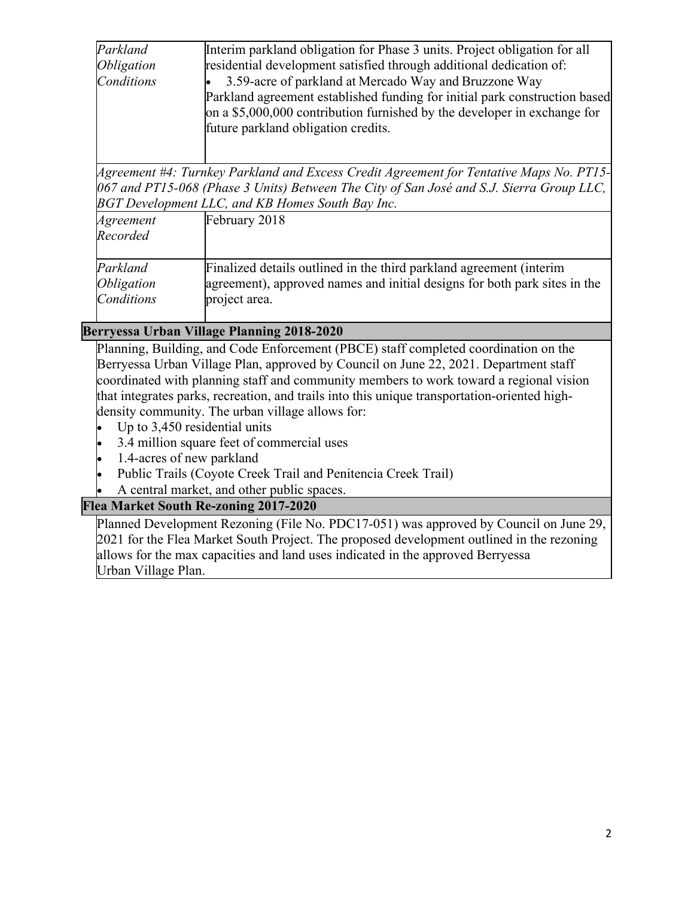| Parkland                 | Interim parkland obligation for Phase 3 units. Project obligation for all                |
|--------------------------|------------------------------------------------------------------------------------------|
| <i><b>Obligation</b></i> | residential development satisfied through additional dedication of:                      |
| Conditions               | 3.59-acre of parkland at Mercado Way and Bruzzone Way                                    |
|                          | Parkland agreement established funding for initial park construction based               |
|                          | on a \$5,000,000 contribution furnished by the developer in exchange for                 |
|                          | future parkland obligation credits.                                                      |
|                          |                                                                                          |
|                          |                                                                                          |
|                          | Agreement #4: Turnkey Parkland and Excess Credit Agreement for Tentative Maps No. PT15-  |
|                          | 067 and PT15-068 (Phase 3 Units) Between The City of San José and S.J. Sierra Group LLC, |
|                          | BGT Development LLC, and KB Homes South Bay Inc.                                         |
| Agreement                | February 2018                                                                            |
| Recorded                 |                                                                                          |
|                          |                                                                                          |
| Parkland                 | Finalized details outlined in the third parkland agreement (interim                      |
| <i><b>Obligation</b></i> | agreement), approved names and initial designs for both park sites in the                |
| Conditions               | project area.                                                                            |
|                          |                                                                                          |

## **Berryessa Urban Village Planning 2018-2020**

Planning, Building, and Code Enforcement (PBCE) staff completed coordination on the Berryessa Urban Village Plan, approved by Council on June 22, 2021. Department staff coordinated with planning staff and community members to work toward a regional vision that integrates parks, recreation, and trails into this unique transportation-oriented highdensity community. The urban village allows for:

- Up to 3,450 residential units
- 3.4 million square feet of commercial uses
- 1.4-acres of new parkland
- Public Trails (Coyote Creek Trail and Penitencia Creek Trail)
- A central market, and other public spaces.

## **Flea Market South Re-zoning 2017-2020**

Planned Development Rezoning (File No. PDC17-051) was approved by Council on June 29, 2021 for the Flea Market South Project. The proposed development outlined in the rezoning allows for the max capacities and land uses indicated in the approved Berryessa Urban Village Plan.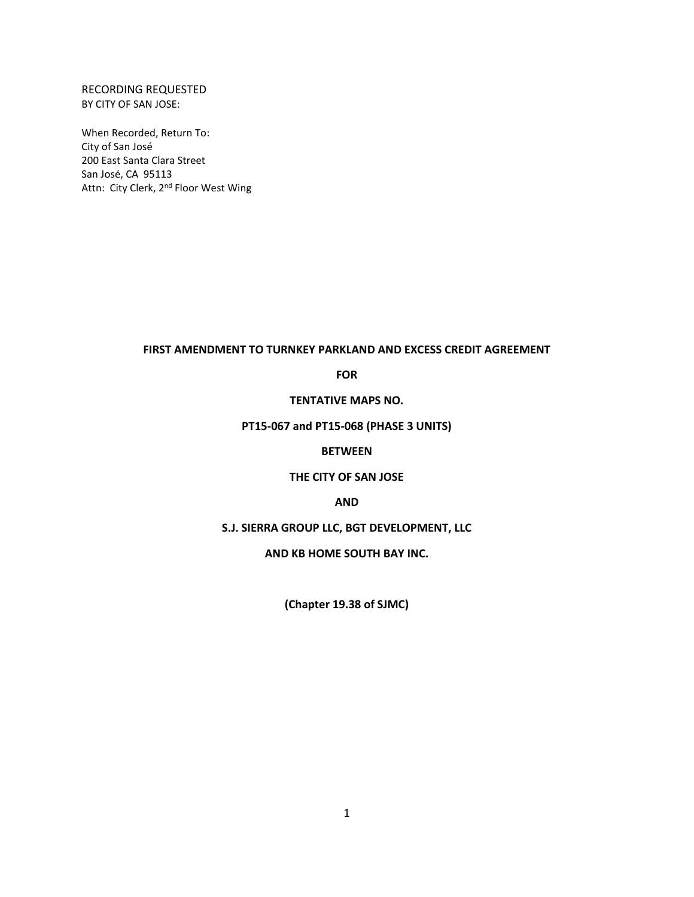#### RECORDING REQUESTED BY CITY OF SAN JOSE:

When Recorded, Return To: City of San José 200 East Santa Clara Street San José, CA 95113 Attn: City Clerk, 2<sup>nd</sup> Floor West Wing

#### **FIRST AMENDMENT TO TURNKEY PARKLAND AND EXCESS CREDIT AGREEMENT**

**FOR**

**TENTATIVE MAPS NO.** 

**PT15-067 and PT15-068 (PHASE 3 UNITS)**

#### **BETWEEN**

#### **THE CITY OF SAN JOSE**

#### **AND**

#### **S.J. SIERRA GROUP LLC, BGT DEVELOPMENT, LLC**

**AND KB HOME SOUTH BAY INC.**

**(Chapter 19.38 of SJMC)**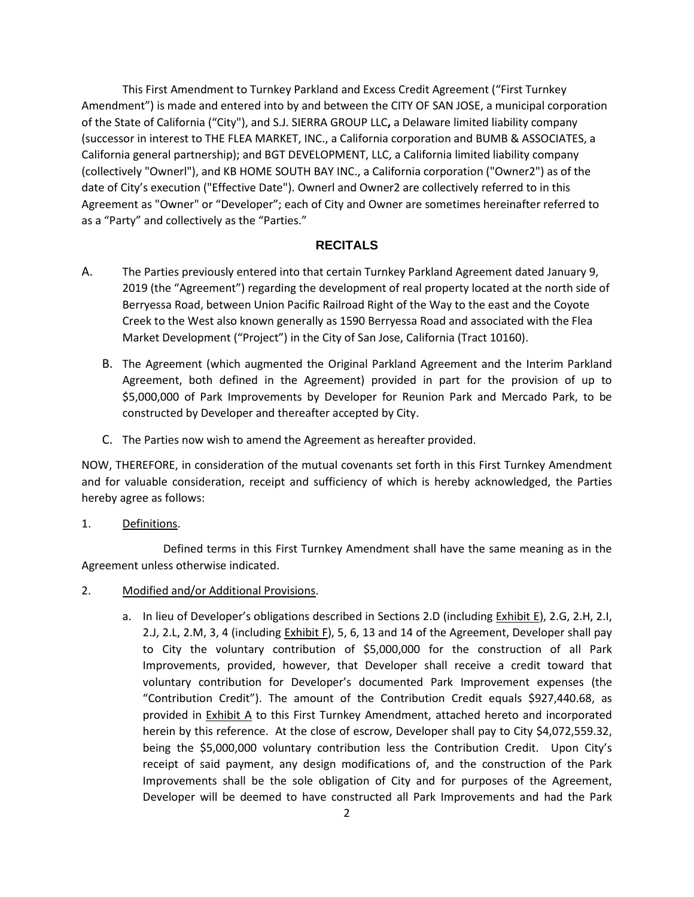This First Amendment to Turnkey Parkland and Excess Credit Agreement ("First Turnkey Amendment") is made and entered into by and between the CITY OF SAN JOSE, a municipal corporation of the State of California ("City"), and S.J. SIERRA GROUP LLC**,** a Delaware limited liability company (successor in interest to THE FLEA MARKET, INC., a California corporation and BUMB & ASSOCIATES, a California general partnership); and BGT DEVELOPMENT, LLC, a California limited liability company (collectively "Ownerl"), and KB HOME SOUTH BAY INC., a California corporation ("Owner2") as of the date of City's execution ("Effective Date"). Ownerl and Owner2 are collectively referred to in this Agreement as "Owner" or "Developer"; each of City and Owner are sometimes hereinafter referred to as a "Party" and collectively as the "Parties."

#### **RECITALS**

- A. The Parties previously entered into that certain Turnkey Parkland Agreement dated January 9, 2019 (the "Agreement") regarding the development of real property located at the north side of Berryessa Road, between Union Pacific Railroad Right of the Way to the east and the Coyote Creek to the West also known generally as 1590 Berryessa Road and associated with the Flea Market Development ("Project") in the City of San Jose, California (Tract 10160).
	- B. The Agreement (which augmented the Original Parkland Agreement and the Interim Parkland Agreement, both defined in the Agreement) provided in part for the provision of up to \$5,000,000 of Park Improvements by Developer for Reunion Park and Mercado Park, to be constructed by Developer and thereafter accepted by City.
	- C. The Parties now wish to amend the Agreement as hereafter provided.

NOW, THEREFORE, in consideration of the mutual covenants set forth in this First Turnkey Amendment and for valuable consideration, receipt and sufficiency of which is hereby acknowledged, the Parties hereby agree as follows:

1. Definitions.

Defined terms in this First Turnkey Amendment shall have the same meaning as in the Agreement unless otherwise indicated.

- 2. Modified and/or Additional Provisions.
	- a. In lieu of Developer's obligations described in Sections 2.D (including Exhibit E), 2.G, 2.H, 2.I, 2.J, 2.L, 2.M, 3, 4 (including Exhibit F), 5, 6, 13 and 14 of the Agreement, Developer shall pay to City the voluntary contribution of \$5,000,000 for the construction of all Park Improvements, provided, however, that Developer shall receive a credit toward that voluntary contribution for Developer's documented Park Improvement expenses (the "Contribution Credit"). The amount of the Contribution Credit equals \$927,440.68, as provided in Exhibit A to this First Turnkey Amendment, attached hereto and incorporated herein by this reference. At the close of escrow, Developer shall pay to City \$4,072,559.32, being the \$5,000,000 voluntary contribution less the Contribution Credit. Upon City's receipt of said payment, any design modifications of, and the construction of the Park Improvements shall be the sole obligation of City and for purposes of the Agreement, Developer will be deemed to have constructed all Park Improvements and had the Park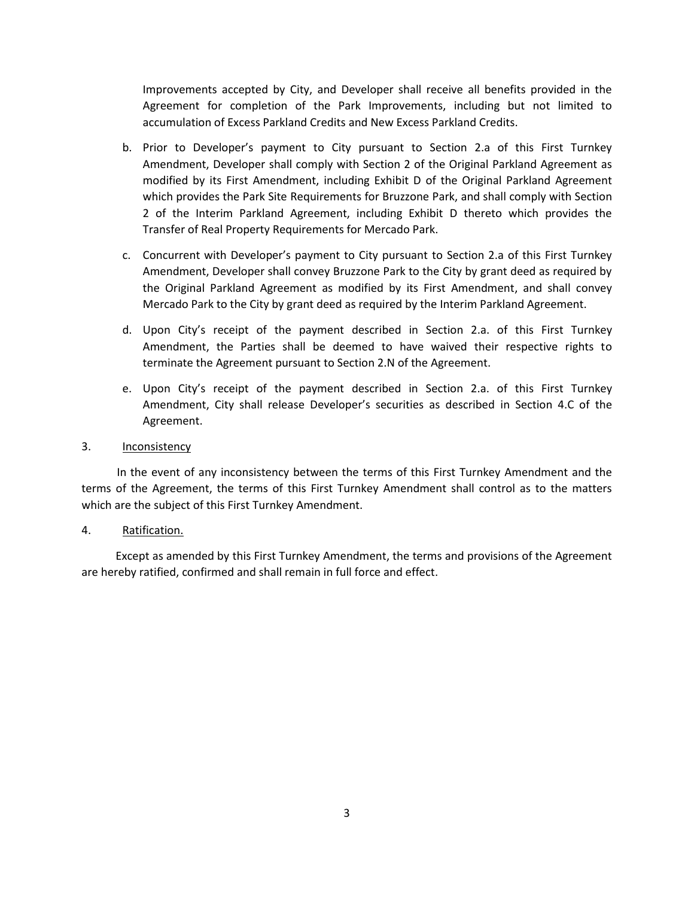Improvements accepted by City, and Developer shall receive all benefits provided in the Agreement for completion of the Park Improvements, including but not limited to accumulation of Excess Parkland Credits and New Excess Parkland Credits.

- b. Prior to Developer's payment to City pursuant to Section 2.a of this First Turnkey Amendment, Developer shall comply with Section 2 of the Original Parkland Agreement as modified by its First Amendment, including Exhibit D of the Original Parkland Agreement which provides the Park Site Requirements for Bruzzone Park, and shall comply with Section 2 of the Interim Parkland Agreement, including Exhibit D thereto which provides the Transfer of Real Property Requirements for Mercado Park.
- c. Concurrent with Developer's payment to City pursuant to Section 2.a of this First Turnkey Amendment, Developer shall convey Bruzzone Park to the City by grant deed as required by the Original Parkland Agreement as modified by its First Amendment, and shall convey Mercado Park to the City by grant deed as required by the Interim Parkland Agreement.
- d. Upon City's receipt of the payment described in Section 2.a. of this First Turnkey Amendment, the Parties shall be deemed to have waived their respective rights to terminate the Agreement pursuant to Section 2.N of the Agreement.
- e. Upon City's receipt of the payment described in Section 2.a. of this First Turnkey Amendment, City shall release Developer's securities as described in Section 4.C of the Agreement.
- 3. Inconsistency

 In the event of any inconsistency between the terms of this First Turnkey Amendment and the terms of the Agreement, the terms of this First Turnkey Amendment shall control as to the matters which are the subject of this First Turnkey Amendment.

4. Ratification.

 Except as amended by this First Turnkey Amendment, the terms and provisions of the Agreement are hereby ratified, confirmed and shall remain in full force and effect.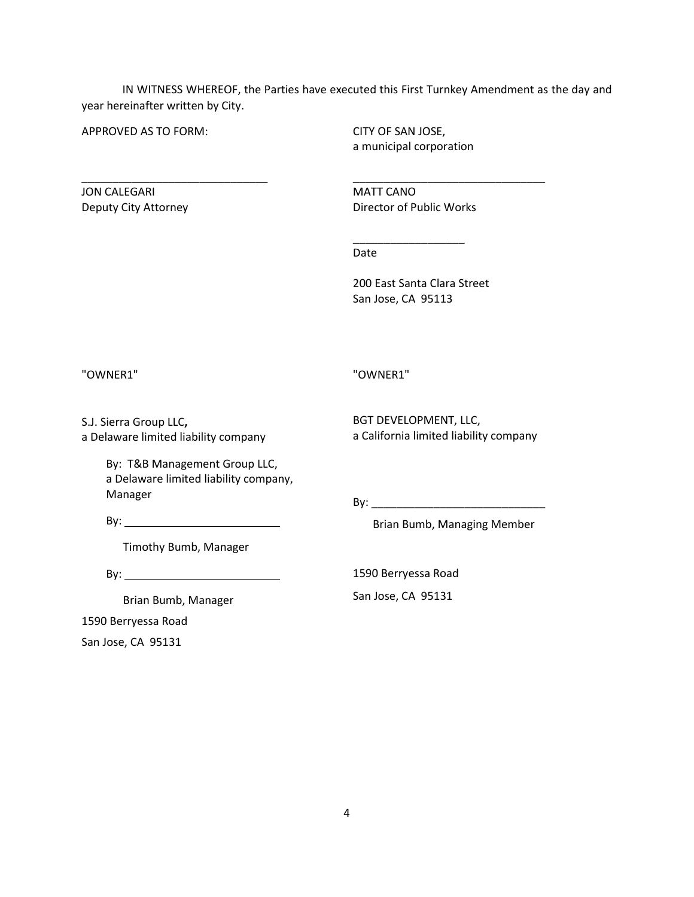IN WITNESS WHEREOF, the Parties have executed this First Turnkey Amendment as the day and year hereinafter written by City.

APPROVED AS TO FORM:

\_\_\_\_\_\_\_\_\_\_\_\_\_\_\_\_\_\_\_\_\_\_\_\_\_\_\_\_\_\_

CITY OF SAN JOSE, a municipal corporation

JON CALEGARI Deputy City Attorney MATT CANO Director of Public Works

\_\_\_\_\_\_\_\_\_\_\_\_\_\_\_\_\_\_

\_\_\_\_\_\_\_\_\_\_\_\_\_\_\_\_\_\_\_\_\_\_\_\_\_\_\_\_\_\_\_

Date

200 East Santa Clara Street San Jose, CA 95113

"OWNER1"

"OWNER1"

S.J. Sierra Group LLC**,** a Delaware limited liability company BGT DEVELOPMENT, LLC, a California limited liability company

By: T&B Management Group LLC, a Delaware limited liability company, Manager

 $\mathsf{By:}\n \overline{\phantom{aa}}$ 

By: \_\_\_\_\_\_\_\_\_\_\_\_\_\_\_\_\_\_\_\_\_\_\_\_\_\_\_\_

Timothy Bumb, Manager

By:  $\qquad \qquad$ 

Brian Bumb, Manager

1590 Berryessa Road

San Jose, CA 95131

Brian Bumb, Managing Member

1590 Berryessa Road

San Jose, CA 95131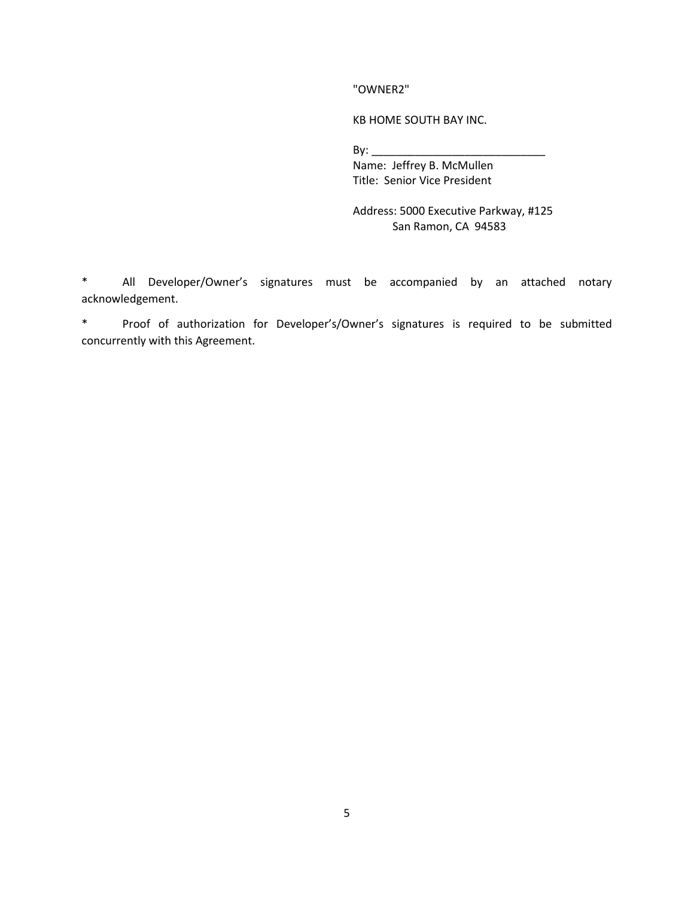"OWNER2"

KB HOME SOUTH BAY INC.

By: \_\_\_\_\_\_\_\_\_\_\_\_\_\_\_\_\_\_\_\_\_\_\_\_\_\_\_\_

Name: Jeffrey B. McMullen Title: Senior Vice President

Address: 5000 Executive Parkway, #125 San Ramon, CA 94583

\* All Developer/Owner's signatures must be accompanied by an attached notary acknowledgement.

\* Proof of authorization for Developer's/Owner's signatures is required to be submitted concurrently with this Agreement.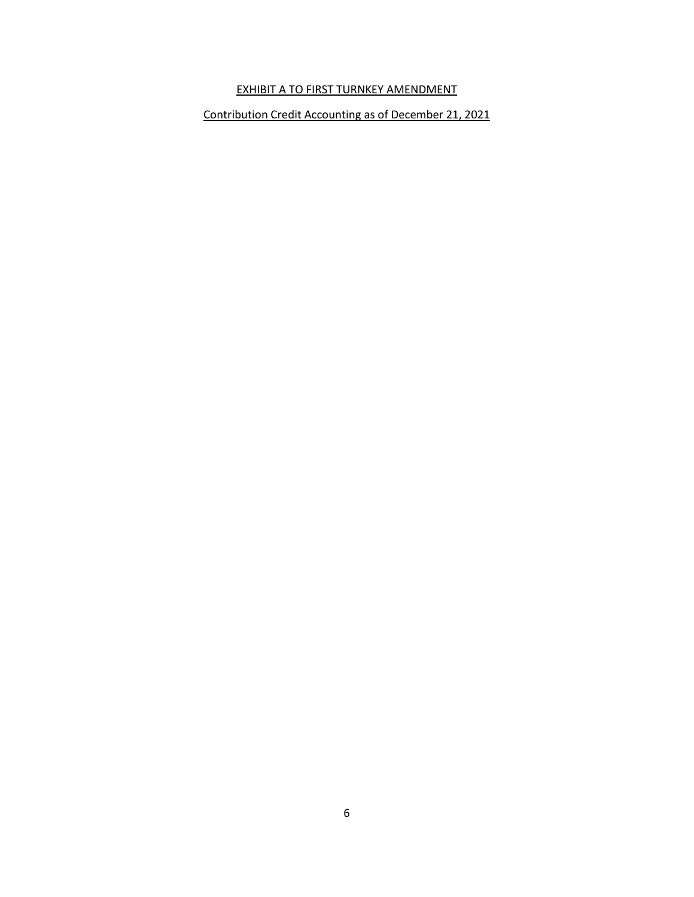#### EXHIBIT A TO FIRST TURNKEY AMENDMENT

Contribution Credit Accounting as of December 21, 2021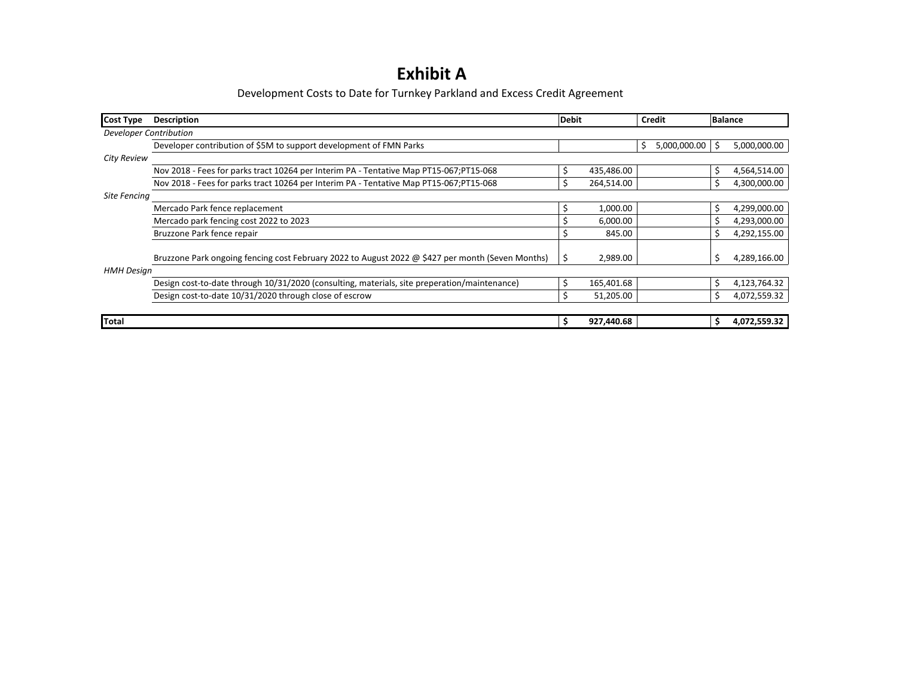## **Exhibit A**

Development Costs to Date for Turnkey Parkland and Excess Credit Agreement

| <b>Cost Type</b>   | <b>Description</b>                                                                               | <b>Debit</b> |            | Credit             |     | <b>Balance</b> |
|--------------------|--------------------------------------------------------------------------------------------------|--------------|------------|--------------------|-----|----------------|
|                    | Developer Contribution                                                                           |              |            |                    |     |                |
|                    | Developer contribution of \$5M to support development of FMN Parks                               |              |            | \$<br>5,000,000.00 | \$. | 5,000,000.00   |
| <b>City Review</b> |                                                                                                  |              |            |                    |     |                |
|                    | Nov 2018 - Fees for parks tract 10264 per Interim PA - Tentative Map PT15-067; PT15-068          | Ś            | 435,486.00 |                    | \$  | 4,564,514.00   |
|                    | Nov 2018 - Fees for parks tract 10264 per Interim PA - Tentative Map PT15-067; PT15-068          |              | 264,514.00 |                    | Ś   | 4,300,000.00   |
| Site Fencing       |                                                                                                  |              |            |                    |     |                |
|                    | Mercado Park fence replacement                                                                   |              | 1,000.00   |                    | \$  | 4,299,000.00   |
|                    | Mercado park fencing cost 2022 to 2023                                                           |              | 6,000.00   |                    |     | 4,293,000.00   |
|                    | Bruzzone Park fence repair                                                                       |              | 845.00     |                    |     | 4,292,155.00   |
|                    |                                                                                                  |              |            |                    |     |                |
|                    | Bruzzone Park ongoing fencing cost February 2022 to August 2022 @ \$427 per month (Seven Months) |              | 2,989.00   |                    | \$  | 4,289,166.00   |
| <b>HMH Design</b>  |                                                                                                  |              |            |                    |     |                |
|                    | Design cost-to-date through 10/31/2020 (consulting, materials, site preperation/maintenance)     |              | 165,401.68 |                    | \$  | 4,123,764.32   |
|                    | Design cost-to-date 10/31/2020 through close of escrow                                           |              | 51,205.00  |                    | \$  | 4,072,559.32   |
|                    |                                                                                                  |              |            |                    |     |                |
| Total              |                                                                                                  | S            | 927,440.68 |                    | Ŝ.  | 4,072,559.32   |